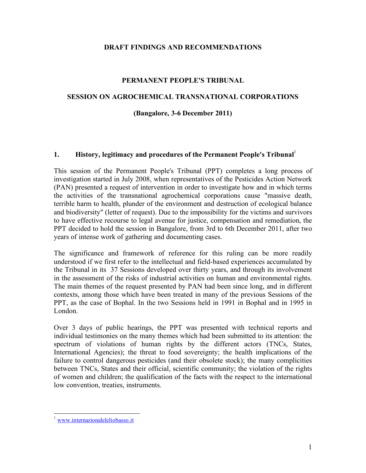### **DRAFT FINDINGS AND RECOMMENDATIONS**

### **PERMANENT PEOPLE'S TRIBUNAL**

### **SESSION ON AGROCHEMICAL TRANSNATIONAL CORPORATIONS**

### **(Bangalore, 3-6 December 2011)**

#### **1. History, legitimacy and procedures of the Permanent People's Tribunal**<sup>1</sup>

This session of the Permanent People's Tribunal (PPT) completes a long process of investigation started in July 2008, when representatives of the Pesticides Action Network (PAN) presented a request of intervention in order to investigate how and in which terms the activities of the transnational agrochemical corporations cause "massive death, terrible harm to health, plunder of the environment and destruction of ecological balance and biodiversity" (letter of request). Due to the impossibility for the victims and survivors to have effective recourse to legal avenue for justice, compensation and remediation, the PPT decided to hold the session in Bangalore, from 3rd to 6th December 2011, after two years of intense work of gathering and documenting cases.

The significance and framework of reference for this ruling can be more readily understood if we first refer to the intellectual and field-based experiences accumulated by the Tribunal in its 37 Sessions developed over thirty years, and through its involvement in the assessment of the risks of industrial activities on human and environmental rights. The main themes of the request presented by PAN had been since long, and in different contexts, among those which have been treated in many of the previous Sessions of the PPT, as the case of Bophal. In the two Sessions held in 1991 in Bophal and in 1995 in London.

Over 3 days of public hearings, the PPT was presented with technical reports and individual testimonies on the many themes which had been submitted to its attention: the spectrum of violations of human rights by the different actors (TNCs, States, International Agencies); the threat to food sovereignty; the health implications of the failure to control dangerous pesticides (and their obsolete stock); the many complicities between TNCs, States and their official, scientific community; the violation of the rights of women and children; the qualification of the facts with the respect to the international low convention, treaties, instruments.

www.internazionaleleliobasso.it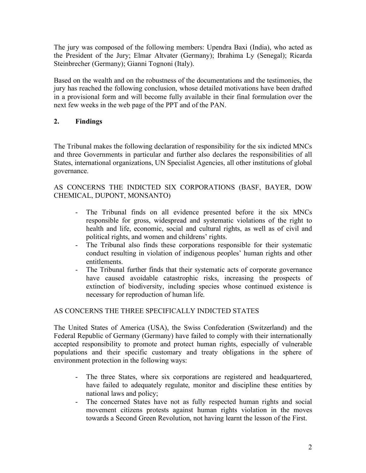The jury was composed of the following members: Upendra Baxi (India), who acted as the President of the Jury; Elmar Altvater (Germany); Ibrahima Ly (Senegal); Ricarda Steinbrecher (Germany); Gianni Tognoni (Italy).

Based on the wealth and on the robustness of the documentations and the testimonies, the jury has reached the following conclusion, whose detailed motivations have been drafted in a provisional form and will become fully available in their final formulation over the next few weeks in the web page of the PPT and of the PAN.

# **2. Findings**

The Tribunal makes the following declaration of responsibility for the six indicted MNCs and three Governments in particular and further also declares the responsibilities of all States, international organizations, UN Specialist Agencies, all other institutions of global governance.

AS CONCERNS THE INDICTED SIX CORPORATIONS (BASF, BAYER, DOW CHEMICAL, DUPONT, MONSANTO)

- The Tribunal finds on all evidence presented before it the six MNCs responsible for gross, widespread and systematic violations of the right to health and life, economic, social and cultural rights, as well as of civil and political rights, and women and childrens' rights.
- The Tribunal also finds these corporations responsible for their systematic conduct resulting in violation of indigenous peoples' human rights and other entitlements.
- The Tribunal further finds that their systematic acts of corporate governance have caused avoidable catastrophic risks, increasing the prospects of extinction of biodiversity, including species whose continued existence is necessary for reproduction of human life.

## AS CONCERNS THE THREE SPECIFICALLY INDICTED STATES

The United States of America (USA), the Swiss Confederation (Switzerland) and the Federal Republic of Germany (Germany) have failed to comply with their internationally accepted responsibility to promote and protect human rights, especially of vulnerable populations and their specific customary and treaty obligations in the sphere of environment protection in the following ways:

- The three States, where six corporations are registered and headquartered, have failed to adequately regulate, monitor and discipline these entities by national laws and policy;
- The concerned States have not as fully respected human rights and social movement citizens protests against human rights violation in the moves towards a Second Green Revolution, not having learnt the lesson of the First.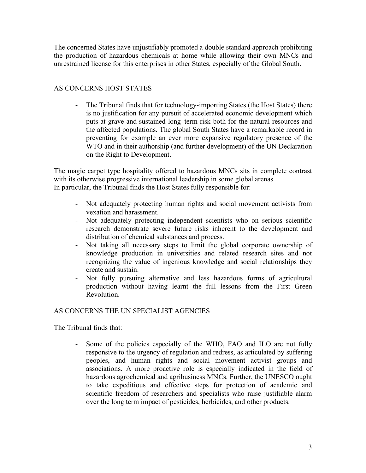The concerned States have unjustifiably promoted a double standard approach prohibiting the production of hazardous chemicals at home while allowing their own MNCs and unrestrained license for this enterprises in other States, especially of the Global South.

## AS CONCERNS HOST STATES

- The Tribunal finds that for technology-importing States (the Host States) there is no justification for any pursuit of accelerated economic development which puts at grave and sustained long–term risk both for the natural resources and the affected populations. The global South States have a remarkable record in preventing for example an ever more expansive regulatory presence of the WTO and in their authorship (and further development) of the UN Declaration on the Right to Development.

The magic carpet type hospitality offered to hazardous MNCs sits in complete contrast with its otherwise progressive international leadership in some global arenas. In particular, the Tribunal finds the Host States fully responsible for:

- Not adequately protecting human rights and social movement activists from vexation and harassment.
- Not adequately protecting independent scientists who on serious scientific research demonstrate severe future risks inherent to the development and distribution of chemical substances and process.
- Not taking all necessary steps to limit the global corporate ownership of knowledge production in universities and related research sites and not recognizing the value of ingenious knowledge and social relationships they create and sustain.
- Not fully pursuing alternative and less hazardous forms of agricultural production without having learnt the full lessons from the First Green Revolution.

## AS CONCERNS THE UN SPECIALIST AGENCIES

The Tribunal finds that:

- Some of the policies especially of the WHO, FAO and ILO are not fully responsive to the urgency of regulation and redress, as articulated by suffering peoples, and human rights and social movement activist groups and associations. A more proactive role is especially indicated in the field of hazardous agrochemical and agribusiness MNCs. Further, the UNESCO ought to take expeditious and effective steps for protection of academic and scientific freedom of researchers and specialists who raise justifiable alarm over the long term impact of pesticides, herbicides, and other products.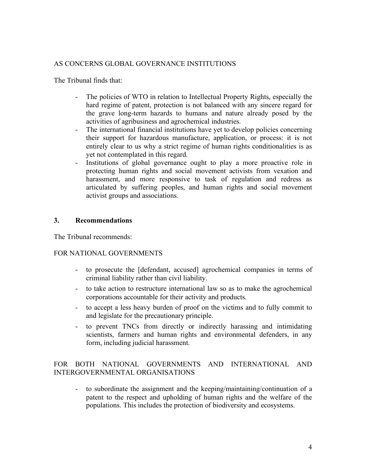## AS CONCERNS GLOBAL GOVERNANCE INSTITUTIONS

The Tribunal finds that:

- The policies of WTO in relation to Intellectual Property Rights, especially the hard regime of patent, protection is not balanced with any sincere regard for the grave long-term hazards to humans and nature already posed by the activities of agribusiness and agrochemical industries.
- The international financial institutions have yet to develop policies concerning their support for hazardous manufacture, application, or process: it is not entirely clear to us why a strict regime of human rights conditionalities is as yet not contemplated in this regard.
- Institutions of global governance ought to play a more proactive role in protecting human rights and social movement activists from vexation and harassment, and more responsive to task of regulation and redress as articulated by suffering peoples, and human rights and social movement activist groups and associations.

## **3. Recommendations**

The Tribunal recommends:

## FOR NATIONAL GOVERNMENTS

- to prosecute the [defendant, accused] agrochemical companies in terms of criminal liability rather than civil liability.
- to take action to restructure international law so as to make the agrochemical corporations accountable for their activity and products.
- to accept a less heavy burden of proof on the victims and to fully commit to and legislate for the precautionary principle.
- to prevent TNCs from directly or indirectly harassing and intimidating scientists, farmers and human rights and environmental defenders, in any form, including judicial harassment.

## FOR BOTH NATIONAL GOVERNMENTS AND INTERNATIONAL AND INTERGOVERNMENTAL ORGANISATIONS

- to subordinate the assignment and the keeping/maintaining/continuation of a patent to the respect and upholding of human rights and the welfare of the populations. This includes the protection of biodiversity and ecosystems.